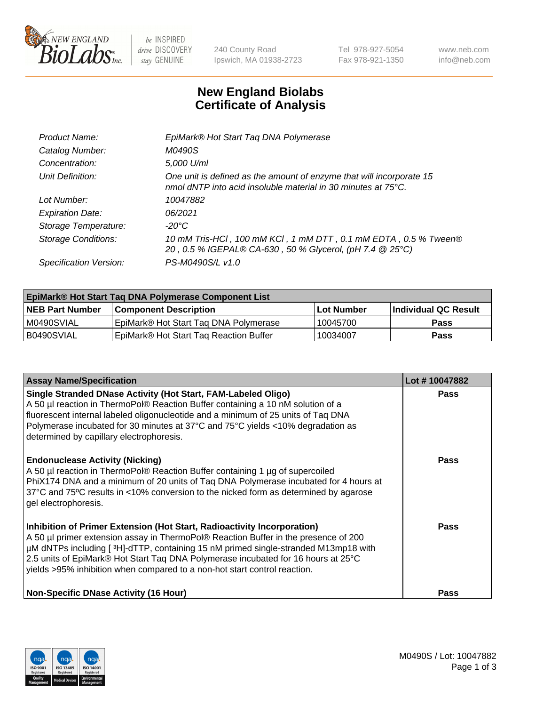

 $be$  INSPIRED drive DISCOVERY stay GENUINE

240 County Road Ipswich, MA 01938-2723 Tel 978-927-5054 Fax 978-921-1350 www.neb.com info@neb.com

## **New England Biolabs Certificate of Analysis**

| Product Name:              | EpiMark® Hot Start Tag DNA Polymerase                                                                                                 |
|----------------------------|---------------------------------------------------------------------------------------------------------------------------------------|
| Catalog Number:            | M0490S                                                                                                                                |
| Concentration:             | 5,000 U/ml                                                                                                                            |
| Unit Definition:           | One unit is defined as the amount of enzyme that will incorporate 15<br>nmol dNTP into acid insoluble material in 30 minutes at 75°C. |
| Lot Number:                | 10047882                                                                                                                              |
| <b>Expiration Date:</b>    | 06/2021                                                                                                                               |
| Storage Temperature:       | $-20^{\circ}$ C                                                                                                                       |
| <b>Storage Conditions:</b> | 10 mM Tris-HCl, 100 mM KCl, 1 mM DTT, 0.1 mM EDTA, 0.5 % Tween®<br>20, 0.5 % IGEPAL® CA-630, 50 % Glycerol, (pH 7.4 @ 25°C)           |
| Specification Version:     | PS-M0490S/L v1.0                                                                                                                      |
|                            |                                                                                                                                       |

| EpiMark® Hot Start Taq DNA Polymerase Component List |                                        |              |                             |  |
|------------------------------------------------------|----------------------------------------|--------------|-----------------------------|--|
| <b>NEB Part Number</b>                               | Component Description_                 | l Lot Number | <b>Individual QC Result</b> |  |
| IM0490SVIAL                                          | EpiMark® Hot Start Tag DNA Polymerase  | 10045700     | Pass                        |  |
| B0490SVIAL                                           | EpiMark® Hot Start Tag Reaction Buffer | 10034007     | Pass                        |  |

| <b>Assay Name/Specification</b>                                                                                                                                                                                                                                                                                                                                                                                        | Lot #10047882 |
|------------------------------------------------------------------------------------------------------------------------------------------------------------------------------------------------------------------------------------------------------------------------------------------------------------------------------------------------------------------------------------------------------------------------|---------------|
| Single Stranded DNase Activity (Hot Start, FAM-Labeled Oligo)<br>A 50 µl reaction in ThermoPol® Reaction Buffer containing a 10 nM solution of a<br>fluorescent internal labeled oligonucleotide and a minimum of 25 units of Taq DNA<br>Polymerase incubated for 30 minutes at 37°C and 75°C yields <10% degradation as<br>determined by capillary electrophoresis.                                                   | <b>Pass</b>   |
| <b>Endonuclease Activity (Nicking)</b><br>A 50 µl reaction in ThermoPol® Reaction Buffer containing 1 µg of supercoiled<br>PhiX174 DNA and a minimum of 20 units of Taq DNA Polymerase incubated for 4 hours at<br>37°C and 75°C results in <10% conversion to the nicked form as determined by agarose<br>gel electrophoresis.                                                                                        | <b>Pass</b>   |
| Inhibition of Primer Extension (Hot Start, Radioactivity Incorporation)<br>A 50 µl primer extension assay in ThermoPol® Reaction Buffer in the presence of 200<br>µM dNTPs including [3H]-dTTP, containing 15 nM primed single-stranded M13mp18 with<br>2.5 units of EpiMark® Hot Start Taq DNA Polymerase incubated for 16 hours at 25°C<br>yields >95% inhibition when compared to a non-hot start control reaction. | Pass          |
| <b>Non-Specific DNase Activity (16 Hour)</b>                                                                                                                                                                                                                                                                                                                                                                           | <b>Pass</b>   |

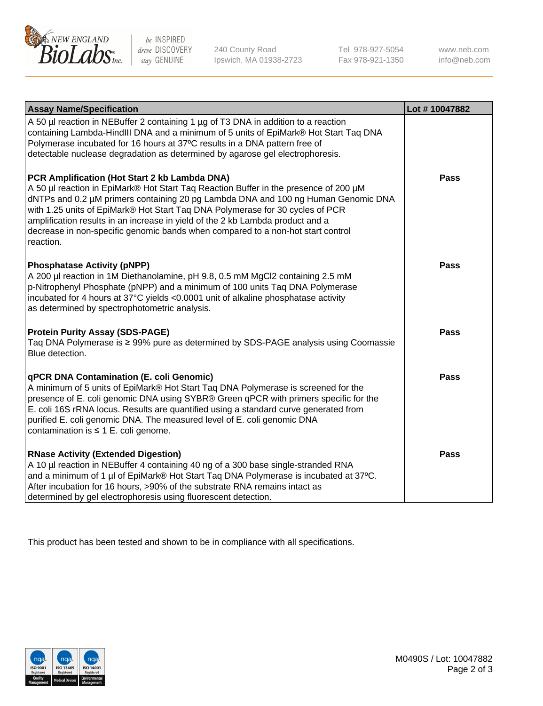

 $be$  INSPIRED drive DISCOVERY stay GENUINE

240 County Road Ipswich, MA 01938-2723 Tel 978-927-5054 Fax 978-921-1350 www.neb.com info@neb.com

| <b>Assay Name/Specification</b>                                                                                                                                                                                                                                                                                                                                                                                                                                                               | Lot #10047882 |
|-----------------------------------------------------------------------------------------------------------------------------------------------------------------------------------------------------------------------------------------------------------------------------------------------------------------------------------------------------------------------------------------------------------------------------------------------------------------------------------------------|---------------|
| A 50 µl reaction in NEBuffer 2 containing 1 µg of T3 DNA in addition to a reaction<br>containing Lambda-HindIII DNA and a minimum of 5 units of EpiMark® Hot Start Taq DNA<br>Polymerase incubated for 16 hours at 37°C results in a DNA pattern free of<br>detectable nuclease degradation as determined by agarose gel electrophoresis.                                                                                                                                                     |               |
| PCR Amplification (Hot Start 2 kb Lambda DNA)<br>A 50 µl reaction in EpiMark® Hot Start Taq Reaction Buffer in the presence of 200 µM<br>dNTPs and 0.2 µM primers containing 20 pg Lambda DNA and 100 ng Human Genomic DNA<br>with 1.25 units of EpiMark® Hot Start Taq DNA Polymerase for 30 cycles of PCR<br>amplification results in an increase in yield of the 2 kb Lambda product and a<br>decrease in non-specific genomic bands when compared to a non-hot start control<br>reaction. | <b>Pass</b>   |
| <b>Phosphatase Activity (pNPP)</b><br>A 200 µl reaction in 1M Diethanolamine, pH 9.8, 0.5 mM MgCl2 containing 2.5 mM<br>p-Nitrophenyl Phosphate (pNPP) and a minimum of 100 units Taq DNA Polymerase<br>incubated for 4 hours at 37°C yields <0.0001 unit of alkaline phosphatase activity<br>as determined by spectrophotometric analysis.                                                                                                                                                   | <b>Pass</b>   |
| <b>Protein Purity Assay (SDS-PAGE)</b><br>Taq DNA Polymerase is ≥ 99% pure as determined by SDS-PAGE analysis using Coomassie<br>Blue detection.                                                                                                                                                                                                                                                                                                                                              | <b>Pass</b>   |
| <b>qPCR DNA Contamination (E. coli Genomic)</b><br>A minimum of 5 units of EpiMark® Hot Start Taq DNA Polymerase is screened for the<br>presence of E. coli genomic DNA using SYBR® Green qPCR with primers specific for the<br>E. coli 16S rRNA locus. Results are quantified using a standard curve generated from<br>purified E. coli genomic DNA. The measured level of E. coli genomic DNA<br>contamination is $\leq 1$ E. coli genome.                                                  | <b>Pass</b>   |
| <b>RNase Activity (Extended Digestion)</b><br>A 10 µl reaction in NEBuffer 4 containing 40 ng of a 300 base single-stranded RNA<br>and a minimum of 1 µl of EpiMark® Hot Start Taq DNA Polymerase is incubated at 37°C.<br>After incubation for 16 hours, >90% of the substrate RNA remains intact as<br>determined by gel electrophoresis using fluorescent detection.                                                                                                                       | <b>Pass</b>   |

This product has been tested and shown to be in compliance with all specifications.